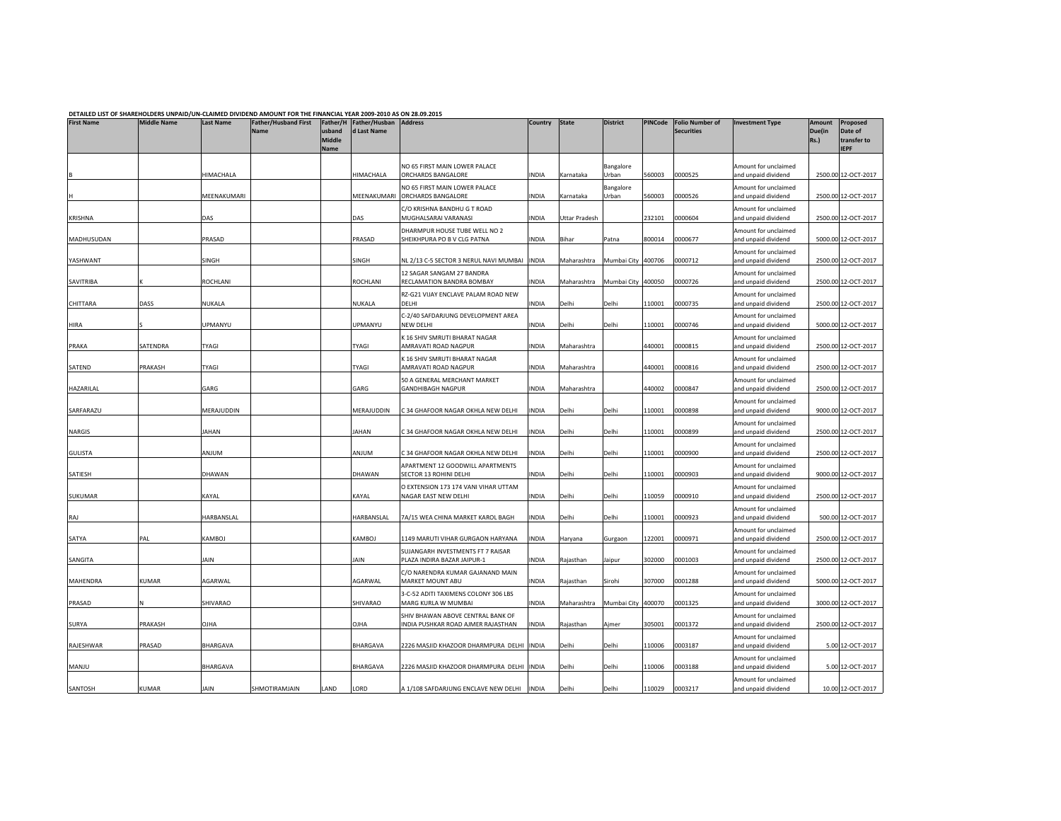| DETAILED LIST OF SHAREHOLDERS UNPAID/UN-CLAIMED DIVIDEND AMOUNT FOR THE FINANCIAL YEAR 2009-2010 AS ON 28.09.2015 |                    |                   |                                            |                                      |                                      |                                                                         |              |               |                    |         |                                             |                                             |                                        |                                                   |
|-------------------------------------------------------------------------------------------------------------------|--------------------|-------------------|--------------------------------------------|--------------------------------------|--------------------------------------|-------------------------------------------------------------------------|--------------|---------------|--------------------|---------|---------------------------------------------|---------------------------------------------|----------------------------------------|---------------------------------------------------|
| <b>First Name</b>                                                                                                 | <b>Middle Name</b> | <b>Last Name</b>  | <b>Father/Husband First</b><br><b>Name</b> | Father/H<br>usband<br>Middle<br>Name | Father/Husban Address<br>d Last Name |                                                                         | Country      | <b>State</b>  | <b>District</b>    | PINCode | <b>Folio Number of</b><br><b>Securities</b> | <b>Investment Type</b>                      | <b>Amount</b><br>Due(in<br><b>Rs.)</b> | Proposed<br>Date of<br>transfer to<br><b>IEPF</b> |
|                                                                                                                   |                    | HIMACHALA         |                                            |                                      | HIMACHALA                            | NO 65 FIRST MAIN LOWER PALACE<br>ORCHARDS BANGALORE                     | INDIA        | Karnataka     | Bangalore<br>Urban | 560003  | 0000525                                     | Amount for unclaimed<br>and unpaid dividend |                                        | 2500.00 12-OCT-2017                               |
|                                                                                                                   |                    | MEENAKUMARI       |                                            |                                      | MEENAKUMARI                          | NO 65 FIRST MAIN LOWER PALACE<br>ORCHARDS BANGALORE                     | INDIA        | Karnataka     | Bangalore<br>Urban | 560003  | 0000526                                     | Amount for unclaimed<br>and unpaid dividend |                                        | 2500.00 12-OCT-2017                               |
| KRISHNA                                                                                                           |                    | DAS               |                                            |                                      | DAS                                  | C/O KRISHNA BANDHU G T ROAD<br>MUGHALSARAI VARANASI                     | <b>INDIA</b> | Uttar Pradesh |                    | 232101  | 0000604                                     | Amount for unclaimed<br>and unpaid dividend |                                        | 2500.00 12-OCT-2017                               |
| MADHUSUDAN                                                                                                        |                    | PRASAD            |                                            |                                      | PRASAD                               | DHARMPUR HOUSE TUBE WELL NO 2<br>SHEIKHPURA PO B V CLG PATNA            | <b>INDIA</b> | Bihar         | Patna              | 800014  | 0000677                                     | Amount for unclaimed<br>and unpaid dividend |                                        | 5000.00 12-OCT-2017                               |
| YASHWANT                                                                                                          |                    | SINGH             |                                            |                                      | SINGH                                | NL 2/13 C-5 SECTOR 3 NERUL NAVI MUMBAI                                  | <b>INDIA</b> | Maharashtra   | Mumbai City 400706 |         | 0000712                                     | Amount for unclaimed<br>and unpaid dividend |                                        | 2500.00 12-OCT-2017                               |
| SAVITRIBA                                                                                                         |                    | ROCHLANI          |                                            |                                      | ROCHLANI                             | 12 SAGAR SANGAM 27 BANDRA<br>RECLAMATION BANDRA BOMBAY                  | INDIA        | Maharashtra   | Mumbai City 400050 |         | 0000726                                     | Amount for unclaimed<br>and unpaid dividend |                                        | 2500.00 12-OCT-2017                               |
| CHITTARA                                                                                                          | DASS               | NUKALA            |                                            |                                      | NUKALA                               | RZ-G21 VIJAY ENCLAVE PALAM ROAD NEW<br>DELHI                            | INDIA        | Delhi         | Delhi              | 110001  | 0000735                                     | Amount for unclaimed<br>and unpaid dividend |                                        | 2500.00 12-OCT-2017                               |
| HIRA                                                                                                              |                    | JPMANYU           |                                            |                                      | UPMANYU                              | C-2/40 SAFDARJUNG DEVELOPMENT AREA<br>NEW DELHI                         | <b>INDIA</b> | Delhi         | Delhi              | 110001  | 0000746                                     | Amount for unclaimed<br>and unpaid dividend |                                        | 5000.00 12-OCT-2017                               |
| PRAKA                                                                                                             | SATENDRA           | TYAGI             |                                            |                                      | <b>TYAGI</b>                         | K 16 SHIV SMRUTI BHARAT NAGAR<br>AMRAVATI ROAD NAGPUR                   | <b>INDIA</b> | Maharashtra   |                    | 440001  | 0000815                                     | Amount for unclaimed<br>and unpaid dividend |                                        | 2500.00 12-OCT-2017                               |
| SATEND                                                                                                            | PRAKASH            | TYAGI             |                                            |                                      | <b>TYAGI</b>                         | K 16 SHIV SMRUTI BHARAT NAGAR<br>AMRAVATI ROAD NAGPUR                   | <b>INDIA</b> | Maharashtra   |                    | 440001  | 0000816                                     | Amount for unclaimed<br>and unpaid dividend |                                        | 2500.00 12-OCT-2017                               |
| HAZARILAL                                                                                                         |                    | GARG              |                                            |                                      | GARG                                 | 50 A GENERAL MERCHANT MARKET<br><b>GANDHIBAGH NAGPUR</b>                | INDIA        | Maharashtra   |                    | 440002  | 0000847                                     | Amount for unclaimed<br>and unpaid dividend |                                        | 2500.00 12-OCT-2017                               |
| SARFARAZU                                                                                                         |                    | MERAJUDDIN        |                                            |                                      | MERAJUDDIN                           | C 34 GHAFOOR NAGAR OKHLA NEW DELHI                                      | <b>INDIA</b> | Delhi         | Delhi              | 110001  | 0000898                                     | Amount for unclaimed<br>and unpaid dividend |                                        | 9000.00 12-OCT-2017                               |
| NARGIS                                                                                                            |                    | AHAN              |                                            |                                      | JAHAN                                | C 34 GHAFOOR NAGAR OKHLA NEW DELHI                                      | <b>INDIA</b> | Delhi         | Delhi              | 110001  | 0000899                                     | Amount for unclaimed<br>and unpaid dividend |                                        | 2500.00 12-OCT-2017                               |
| <b>GULISTA</b>                                                                                                    |                    | ANJUM             |                                            |                                      | <b>ANJUM</b>                         | C 34 GHAFOOR NAGAR OKHLA NEW DELHI                                      | <b>INDIA</b> | Delhi         | Delhi              | 110001  | 0000900                                     | Amount for unclaimed<br>and unpaid dividend |                                        | 2500.00 12-OCT-2017                               |
| SATIESH                                                                                                           |                    | DHAWAN            |                                            |                                      | DHAWAN                               | APARTMENT 12 GOODWILL APARTMENTS<br>SECTOR 13 ROHINI DELHI              | <b>INDIA</b> | Delhi         | Delhi              | 110001  | 0000903                                     | Amount for unclaimed<br>and unpaid dividend |                                        | 9000.00 12-OCT-2017                               |
| SUKUMAR                                                                                                           |                    | KAYAL             |                                            |                                      | KAYAL                                | O EXTENSION 173 174 VANI VIHAR UTTAM<br>NAGAR EAST NEW DELHI            | <b>INDIA</b> | Delhi         | Delhi              | 110059  | 0000910                                     | Amount for unclaimed<br>and unpaid dividend |                                        | 2500.00 12-OCT-2017                               |
| RAJ                                                                                                               |                    | <b>HARBANSLAL</b> |                                            |                                      | HARBANSLAL                           | 7A/15 WEA CHINA MARKET KAROL BAGH                                       | <b>INDIA</b> | Delhi         | Delhi              | 110001  | 0000923                                     | Amount for unclaimed<br>and unpaid dividend |                                        | 500.00 12-OCT-2017                                |
| SATYA                                                                                                             | PAL                | KAMBOJ            |                                            |                                      | <b>KAMBOJ</b>                        | 1149 MARUTI VIHAR GURGAON HARYANA                                       | <b>INDIA</b> | Haryana       | Gurgaon            | 122001  | 0000971                                     | Amount for unclaimed<br>and unpaid dividend |                                        | 2500.00 12-OCT-2017                               |
| SANGITA                                                                                                           |                    | IAIN              |                                            |                                      | <b>JAIN</b>                          | SUJANGARH INVESTMENTS FT 7 RAISAR<br>PLAZA INDIRA BAZAR JAIPUR-1        | <b>INDIA</b> | Rajasthan     | Jaipur             | 302000  | 0001003                                     | Amount for unclaimed<br>and unpaid dividend |                                        | 2500.00 12-OCT-2017                               |
| MAHENDRA                                                                                                          | <b>KUMAR</b>       | AGARWAL           |                                            |                                      | AGARWAL                              | C/O NARENDRA KUMAR GAJANAND MAIN<br>MARKET MOUNT ABU                    | <b>INDIA</b> | Rajasthan     | Sirohi             | 307000  | 0001288                                     | Amount for unclaimed<br>and unpaid dividend |                                        | 5000.00 12-OCT-2017                               |
| PRASAD                                                                                                            | N                  | SHIVARAO          |                                            |                                      | SHIVARAO                             | 3-C-52 ADITI TAXIMENS COLONY 306 LBS<br>MARG KURLA W MUMBAI             | <b>INDIA</b> | Maharashtra   | Mumbai City        | 400070  | 0001325                                     | Amount for unclaimed<br>and unpaid dividend |                                        | 3000.00 12-OCT-2017                               |
| SURYA                                                                                                             | PRAKASH            | AHLO              |                                            |                                      | OJHA                                 | SHIV BHAWAN ABOVE CENTRAL BANK OF<br>INDIA PUSHKAR ROAD AJMER RAJASTHAN | <b>INDIA</b> | Rajasthan     | Ajmer              | 305001  | 0001372                                     | Amount for unclaimed<br>and unpaid dividend |                                        | 2500.00 12-OCT-2017                               |
| RAJESHWAR                                                                                                         | PRASAD             | BHARGAVA          |                                            |                                      | BHARGAVA                             | 2226 MASJID KHAZOOR DHARMPURA DELHI                                     | <b>INDIA</b> | Delhi         | Delhi              | 110006  | 0003187                                     | Amount for unclaimed<br>and unpaid dividend |                                        | 5.00 12-OCT-2017                                  |
| MANJU                                                                                                             |                    | <b>BHARGAVA</b>   |                                            |                                      | BHARGAVA                             | 2226 MASJID KHAZOOR DHARMPURA DELHI  INDIA                              |              | Delhi         | Delhi              | 110006  | 0003188                                     | Amount for unclaimed<br>and unpaid dividend |                                        | 5.00 12-OCT-2017                                  |
| SANTOSH                                                                                                           | <b>KUMAR</b>       | JAIN              | SHMOTIRAMJAIN                              | LAND                                 | LORD                                 | A 1/108 SAFDARJUNG ENCLAVE NEW DELHI                                    | <b>INDIA</b> | Delhi         | Delhi              | 110029  | 0003217                                     | Amount for unclaimed<br>and unpaid dividend |                                        | 10.00 12-OCT-2017                                 |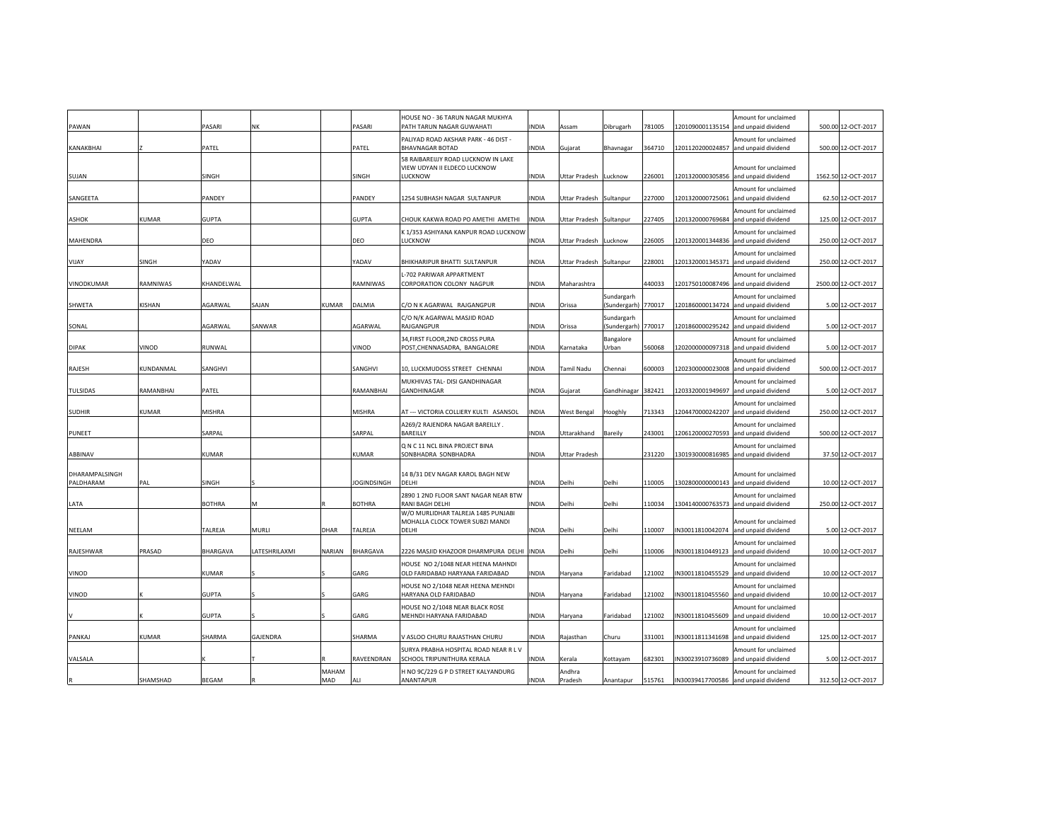| PAWAN           |           | PASARI        | NK            |              | <b>PASARI</b>      | HOUSE NO - 36 TARUN NAGAR MUKHYA<br>PATH TARUN NAGAR GUWAHATI       | INDIA        | Assam              | Dibrugarh                  | 781005 | Amount for unclaimed<br>1201090001135154<br>and unpaid dividend | 500.00 12-OCT-2017  |  |
|-----------------|-----------|---------------|---------------|--------------|--------------------|---------------------------------------------------------------------|--------------|--------------------|----------------------------|--------|-----------------------------------------------------------------|---------------------|--|
| KANAKBHAI       |           | PATEL         |               |              | ATEL               | PALIYAD ROAD AKSHAR PARK - 46 DIST -<br><b>BHAVNAGAR BOTAD</b>      | <b>INDIA</b> | Gujarat            | Bhavnagar                  | 364710 | Amount for unclaimed<br>1201120200024857<br>and unpaid dividend | 500.00 12-OCT-2017  |  |
|                 |           |               |               |              |                    | 58 RAIBAREIJJY ROAD LUCKNOW IN LAKE                                 |              |                    |                            |        |                                                                 |                     |  |
|                 |           |               |               |              |                    | VIEW UDYAN II ELDECO LUCKNOW                                        |              |                    |                            |        | Amount for unclaimed                                            |                     |  |
| SUJAN           |           | SINGH         |               |              | SINGH              | LUCKNOW                                                             | INDIA        | Uttar Pradesh      | Lucknow                    | 226001 | 1201320000305856<br>and unpaid dividend                         | 1562.50 12-OCT-2017 |  |
|                 |           |               |               |              |                    |                                                                     |              |                    |                            |        | Amount for unclaimed                                            |                     |  |
| SANGEETA        |           | PANDEY        |               |              | PANDEY             | 1254 SUBHASH NAGAR SULTANPUR                                        | <b>INDIA</b> | Uttar Pradesh      | Sultanpur                  | 227000 | 1201320000725061<br>and unpaid dividend                         | 62.50 12-OCT-2017   |  |
|                 |           |               |               |              |                    |                                                                     |              |                    |                            |        | Amount for unclaimed                                            |                     |  |
| ASHOK           | KUMAR     | <b>GUPTA</b>  |               |              | <b>GUPTA</b>       | CHOUK KAKWA ROAD PO AMETHI AMETHI                                   | INDIA        | Jttar Pradesh      | Sultanpur                  | 227405 | 1201320000769684<br>and unpaid dividend                         | 125.00 12-OCT-2017  |  |
|                 |           |               |               |              |                    | K 1/353 ASHIYANA KANPUR ROAD LUCKNOW                                |              |                    |                            |        | Amount for unclaimed                                            |                     |  |
| MAHENDRA        |           | DEO           |               |              | DEO                | LUCKNOW                                                             | INDIA        | Uttar Pradesh      | Lucknow                    | 226005 | 1201320001344836 and unpaid dividend                            | 250.00 12-OCT-2017  |  |
|                 |           |               |               |              |                    |                                                                     |              |                    |                            |        | Amount for unclaimed                                            |                     |  |
| VIJAY           | SINGH     | YADAV         |               |              | YADAV              | BHIKHARIPUR BHATTI SULTANPUR                                        | <b>INDIA</b> | Uttar Pradesh      | Sultanpur                  | 228001 | 1201320001345371 and unpaid dividend                            | 250.00 12-OCT-2017  |  |
|                 |           |               |               |              |                    | L-702 PARIWAR APPARTMENT                                            |              |                    |                            |        | Amount for unclaimed                                            |                     |  |
| VINODKUMAR      | RAMNIWAS  | KHANDELWAL    |               |              | RAMNIWAS           | CORPORATION COLONY NAGPUR                                           | <b>INDIA</b> | Maharashtra        |                            | 440033 | 1201750100087496<br>and unpaid dividend                         | 2500.00 12-OCT-2017 |  |
|                 | KISHAN    | AGARWAL       | SAJAN         | <b>KUMAR</b> |                    | C/O N K AGARWAL RAJGANGPUR                                          | INDIA        |                    | Sundargarh                 |        | Amount for unclaimed<br>1201860000134724                        | 5.00 12-OCT-2017    |  |
| SHWETA          |           |               |               |              | DALMIA             |                                                                     |              | Orissa             | (Sundergarh) 770017        |        | and unpaid dividend                                             |                     |  |
| SONAL           |           | AGARWAL       | SANWAR        |              | AGARWAL            | C/O N/K AGARWAL MASJID ROAD<br>RAJGANGPUR                           | NDIA         | Orissa             | Sundargarh<br>(Sundergarh) | 770017 | Amount for unclaimed<br>1201860000295242<br>and unpaid dividend | 5.00 12-OCT-2017    |  |
|                 |           |               |               |              |                    |                                                                     |              |                    |                            |        |                                                                 |                     |  |
| <b>DIPAK</b>    | VINOD     | RUNWAL        |               |              | <b>VINOD</b>       | 34, FIRST FLOOR, 2ND CROSS PURA<br>POST, CHENNASADRA, BANGALORE     | INDIA        | Karnataka          | Bangalore<br>Jrban         | 560068 | Amount for unclaimed<br>1202000000097318 and unpaid dividend    | 5.00 12-OCT-2017    |  |
|                 |           |               |               |              |                    |                                                                     |              |                    |                            |        |                                                                 |                     |  |
| RAJESH          | KUNDANMAL | SANGHVI       |               |              | SANGHVI            | 10, LUCKMUDOSS STREET CHENNAI                                       | INDIA        | Tamil Nadu         | Chennai                    | 600003 | Amount for unclaimed<br>1202300000023008<br>and unpaid dividend | 500.00 12-OCT-2017  |  |
|                 |           |               |               |              |                    | MUKHIVAS TAL- DISI GANDHINAGAR                                      |              |                    |                            |        | Amount for unclaimed                                            |                     |  |
| <b>TULSIDAS</b> | RAMANBHAI | PATEL         |               |              | RAMANBHAI          | GANDHINAGAR                                                         | INDIA        | Gujarat            | Gandhinagar 382421         |        | 1203320001949697<br>and unpaid dividend                         | 5.00 12-OCT-2017    |  |
|                 |           |               |               |              |                    |                                                                     |              |                    |                            |        | Amount for unclaimed                                            |                     |  |
| <b>SUDHIR</b>   | KUMAR     | MISHRA        |               |              | MISHRA             | AT --- VICTORIA COLLIERY KULTI ASANSOL                              | NDIA         | West Bengal        | Hooghly                    | 713343 | 1204470000242207<br>and unpaid dividend                         | 250.00 12-OCT-2017  |  |
|                 |           |               |               |              |                    | A269/2 RAJENDRA NAGAR BAREILLY.                                     |              |                    |                            |        | Amount for unclaimed                                            |                     |  |
| PUNEET          |           | SARPAL        |               |              | SARPAL             | BAREILLY                                                            | INDIA        | <b>Jttarakhand</b> | Bareily                    | 243001 | 1206120000270593<br>and unpaid dividend                         | 500.00 12-OCT-2017  |  |
|                 |           |               |               |              |                    | Q N C 11 NCL BINA PROJECT BINA                                      |              |                    |                            |        | Amount for unclaimed                                            |                     |  |
| ABBINAV         |           | <b>KUMAR</b>  |               |              | <b>KUMAR</b>       | SONBHADRA SONBHADRA                                                 | <b>INDIA</b> | Uttar Pradesh      |                            | 231220 | 1301930000816985<br>and unpaid dividend                         | 37.50 12-OCT-2017   |  |
|                 |           |               |               |              |                    |                                                                     |              |                    |                            |        |                                                                 |                     |  |
| DHARAMPALSINGH  |           |               |               |              |                    | 14 B/31 DEV NAGAR KAROL BAGH NEW<br>DELHI                           |              |                    |                            |        | Amount for unclaimed                                            |                     |  |
| PALDHARAM       | PAL       | SINGH         |               |              | <b>JOGINDSINGH</b> |                                                                     | INDIA        | Delhi              | Delhi                      | 110005 | 1302800000000143<br>and unpaid dividend                         | 10.00 12-OCT-2017   |  |
| LATA            |           | <b>BOTHRA</b> |               |              | <b>SOTHRA</b>      | 2890 1 2ND FLOOR SANT NAGAR NEAR BTW<br>RANI BAGH DELHI             | INDIA        | Delhi              | Delhi                      | 110034 | Amount for unclaimed<br>1304140000763573<br>and unpaid dividend | 250.00 12-OCT-2017  |  |
|                 |           |               |               |              |                    | W/O MURLIDHAR TALREJA 1485 PUNJABI                                  |              |                    |                            |        |                                                                 |                     |  |
|                 |           |               |               |              |                    | MOHALLA CLOCK TOWER SUBZI MANDI                                     |              |                    |                            |        | Amount for unclaimed                                            |                     |  |
| NEELAM          |           | TALREJA       | MURLI         | DHAR         | TALREJA            | DELHI                                                               | INDIA        | Delhi              | Delhi                      | 110007 | IN30011810042074<br>and unpaid dividend                         | 5.00 12-OCT-2017    |  |
|                 |           |               |               |              |                    |                                                                     |              |                    |                            |        | Amount for unclaimed                                            |                     |  |
| RAJESHWAR       | PRASAD    | BHARGAVA      | LATESHRILAXMI | NARIAN       | BHARGAVA           | 2226 MASJID KHAZOOR DHARMPURA DELHI                                 | <b>INDIA</b> | Delhi              | Delhi                      | 110006 | N30011810449123<br>and unpaid dividend                          | 10.00 12-OCT-2017   |  |
|                 |           |               |               |              |                    | HOUSE NO 2/1048 NEAR HEENA MAHNDI                                   |              |                    |                            |        | Amount for unclaimed                                            |                     |  |
| VINOD           |           | KUMAR         |               |              | GARG               | OLD FARIDABAD HARYANA FARIDABAD                                     | <b>INDIA</b> | Haryana            | Faridabad                  | 121002 | IN30011810455529<br>and unpaid dividend                         | 10.00 12-OCT-2017   |  |
|                 |           |               |               |              |                    | HOUSE NO 2/1048 NEAR HEENA MEHNDI                                   |              |                    |                            |        | Amount for unclaimed                                            |                     |  |
| VINOD           |           | <b>GUPTA</b>  |               |              | GARG               | HARYANA OLD FARIDABAD                                               | INDIA        | Haryana            | Faridabad                  | 121002 | IN30011810455560 and unpaid dividend                            | 10.00 12-OCT-2017   |  |
|                 |           |               |               |              |                    | HOUSE NO 2/1048 NEAR BLACK ROSE<br>MEHNDI HARYANA FARIDABAD         | INDIA        |                    |                            | 121002 | Amount for unclaimed<br>IN30011810455609                        |                     |  |
|                 |           | <b>GUPTA</b>  |               |              | GARG               |                                                                     |              | Haryana            | Faridabad                  |        | and unpaid dividend                                             | 10.00 12-OCT-2017   |  |
| PANKAJ          | KUMAR     | SHARMA        | GAJENDRA      |              | SHARMA             | V ASLOO CHURU RAJASTHAN CHURU                                       | INDIA        | Rajasthan          | Churu                      | 331001 | Amount for unclaimed<br>N30011811341698<br>and unpaid dividend  | 125.00 12-OCT-2017  |  |
|                 |           |               |               |              |                    |                                                                     |              |                    |                            |        |                                                                 |                     |  |
| VALSALA         |           |               |               |              | RAVEENDRAN         | SURYA PRABHA HOSPITAL ROAD NEAR R L V<br>SCHOOL TRIPUNITHURA KERALA | NDIA         | Kerala             | <b>Kottayam</b>            | 682301 | Amount for unclaimed<br>IN30023910736089<br>and unpaid dividend | 5.00 12-OCT-2017    |  |
|                 |           |               |               | MAHAM        |                    | H NO 9C/229 G P D STREET KALYANDURG                                 |              | Andhra             |                            |        | Amount for unclaimed                                            |                     |  |
|                 | SHAMSHAD  | BEGAM         |               | MAD          | ٩H                 | ANANTAPUR                                                           | INDIA        | Pradesh            | Anantapur                  | 515761 | IN30039417700586<br>and unpaid dividend                         | 312.50 12-OCT-2017  |  |
|                 |           |               |               |              |                    |                                                                     |              |                    |                            |        |                                                                 |                     |  |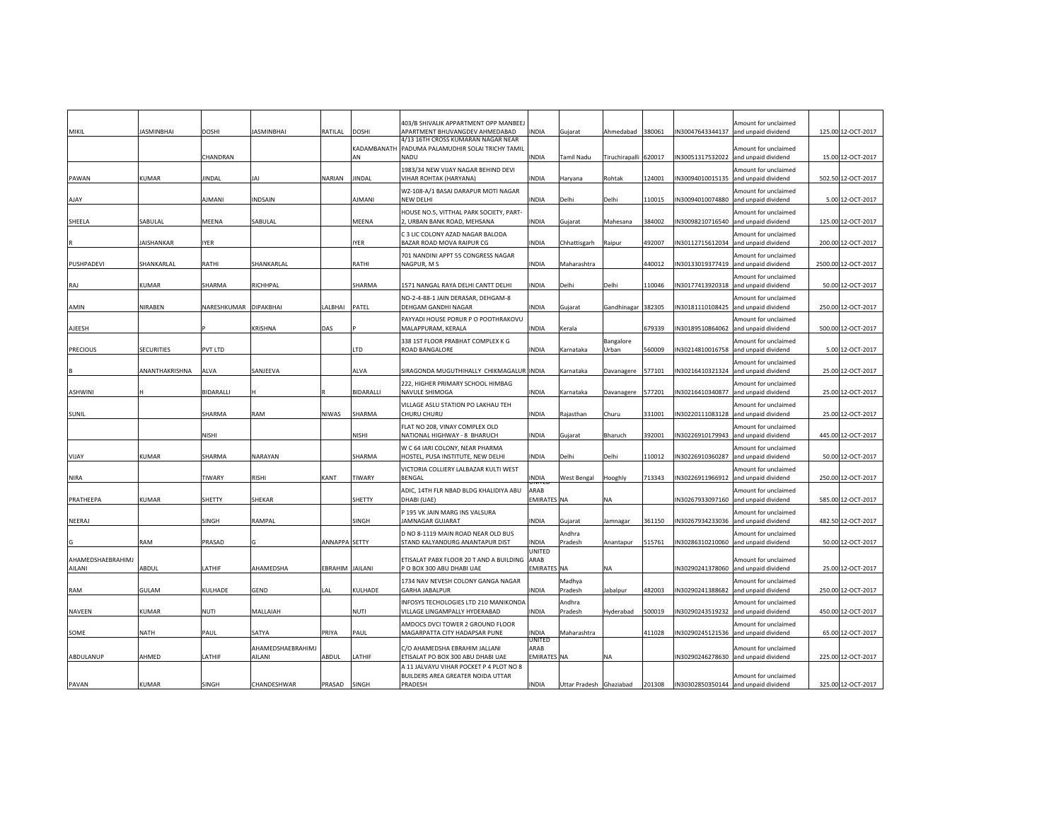| MIKIL                       | <b>JASMINBHAI</b> | <b>DOSHI</b>   | <b>JASMINBHAI</b>           | RATILAL        | <b>DOSHI</b>      | 403/B SHIVALIK APPARTMENT OPP MANBEEJ<br>APARTMENT BHUVANGDEV AHMEDABAD                 | <b>INDIA</b>                         | Gujarat                 | Ahmedabad                 | 380061 |                 | Amount for unclaimed<br>N30047643344137 and unpaid dividend | 125.00 12-OCT-2017  |
|-----------------------------|-------------------|----------------|-----------------------------|----------------|-------------------|-----------------------------------------------------------------------------------------|--------------------------------------|-------------------------|---------------------------|--------|-----------------|-------------------------------------------------------------|---------------------|
|                             |                   | CHANDRAN       |                             |                | KADAMBANATH<br>AN | 4/13 16TH CROSS KUMARAN NAGAR NEAR<br>PADUMA PALAMUDHIR SOLAI TRICHY TAMIL<br>NADU      | INDIA                                | Tamil Nadu              | Tiruchirapalli            | 620017 | N30051317532022 | Amount for unclaimed<br>and unpaid dividend                 | 15.00 12-OCT-2017   |
| PAWAN                       | KUMAR             | JINDAL         | JAI                         | NARIAN         | <b>JINDAL</b>     | 1983/34 NEW VIJAY NAGAR BEHIND DEVI<br>VIHAR ROHTAK (HARYANA)                           | NDIA                                 | Haryana                 | Rohtak                    | 124001 | N30094010015135 | Amount for unclaimed<br>and unpaid dividend                 | 502.50 12-OCT-2017  |
| AJAY                        |                   | <b>IIAANIA</b> | <b>INDSAIN</b>              |                | <b>AJMANI</b>     | WZ-108-A/1 BASAI DARAPUR MOTI NAGAR<br>NEW DELHI                                        | <b>INDIA</b>                         | Delhi                   | Delhi                     | 110015 | N30094010074880 | Amount for unclaimed<br>and unpaid dividend                 | 5.00 12-OCT-2017    |
| SHEELA                      | SABULAL           | MEENA          | SABULAL                     |                | MEENA             | HOUSE NO.5, VITTHAL PARK SOCIETY, PART-<br>2, URBAN BANK ROAD, MEHSANA                  | INDIA                                | Gujarat                 | Mahesana                  | 384002 | N30098210716540 | Amount for unclaimed<br>and unpaid dividend                 | 125.00 12-OCT-2017  |
|                             | AISHANKAR         | IYER           |                             |                | <b>YER</b>        | C 3 LIC COLONY AZAD NAGAR BALODA<br>BAZAR ROAD MOVA RAIPUR CG                           | <b>INDIA</b>                         | Chhattisgarh            | Raipur                    | 492007 | N30112715612034 | Amount for unclaimed<br>and unpaid dividend                 | 200.00 12-OCT-2017  |
| PUSHPADEVI                  | SHANKARLAL        | RATHI          | SHANKARLAL                  |                | RATHI             | 701 NANDINI APPT 55 CONGRESS NAGAR<br>NAGPUR, M S                                       | INDIA                                | Maharashtra             |                           | 440012 | N30133019377419 | Amount for unclaimed<br>and unpaid dividend                 | 2500.00 12-OCT-2017 |
| RAJ                         | KUMAR             | SHARMA         | RICHHPAL                    |                | SHARMA            | 1571 NANGAL RAYA DELHI CANTT DELHI                                                      | INDIA                                | Delhi                   | Delhi                     | 110046 |                 | Amount for unclaimed<br>N30177413920318 and unpaid dividend | 50.00 12-OCT-2017   |
| AMIN                        | NIRABEN           | NARESHKUMAR    | <b>DIPAKBHAI</b>            | LALBHAI        | PATEL             | NO-2-4-88-1 JAIN DERASAR, DEHGAM-8<br>DEHGAM GANDHI NAGAR                               | INDIA                                | Gujarat                 | Gandhinagar 382305        |        | N30181110108425 | Amount for unclaimed<br>and unpaid dividend                 | 250.00 12-OCT-2017  |
| AJEESH                      |                   |                | KRISHNA                     | DAS            |                   | PAYYADI HOUSE PORUR P O POOTHRAKOVU<br>MALAPPURAM, KERALA                               | INDIA                                | Kerala                  |                           | 679339 | N30189510864062 | Amount for unclaimed<br>and unpaid dividend                 | 500.00 12-OCT-2017  |
| <b>PRECIOUS</b>             | <b>SECURITIES</b> | PVT LTD        |                             |                | LTD               | 338 1ST FLOOR PRABHAT COMPLEX K G<br>ROAD BANGALORE                                     | INDIA                                | Karnataka               | <b>Bangalore</b><br>Jrban | 560009 | N30214810016758 | Amount for unclaimed<br>and unpaid dividend                 | 5.00 12-OCT-2017    |
|                             | ANANTHAKRISHNA    | ALVA           | SANJEEVA                    |                | ALVA              | SIRAGONDA MUGUTHIHALLY CHIKMAGALUR INDIA                                                |                                      | Karnataka               | Davanagere                | 577101 | N30216410321324 | Amount for unclaimed<br>and unpaid dividend                 | 25.00 12-OCT-2017   |
| ASHWINI                     |                   | BIDARALLI      |                             |                | <b>BIDARALLI</b>  | 222, HIGHER PRIMARY SCHOOL HIMBAG<br>NAVULE SHIMOGA                                     | <b>INDIA</b>                         | Karnataka               | Davanagere                | 577201 | N30216410340877 | Amount for unclaimed<br>and unpaid dividend                 | 25.00 12-OCT-2017   |
| SUNIL                       |                   | SHARMA         | RAM                         | NIWAS          | SHARMA            | VILLAGE ASLU STATION PO LAKHAU TEH<br>CHURU CHURU                                       | INDIA                                | Rajasthan               | Churu                     | 331001 | N30220111083128 | Amount for unclaimed<br>and unpaid dividend                 | 25.00 12-OCT-2017   |
|                             |                   | NISHI          |                             |                | NISHI             | FLAT NO 208, VINAY COMPLEX OLD<br>NATIONAL HIGHWAY - 8 BHARUCH                          | <b>INDIA</b>                         | Gujarat                 | Bharuch                   | 392001 | N30226910179943 | Amount for unclaimed<br>and unpaid dividend                 | 445.00 12-OCT-2017  |
| VIJAY                       | KUMAR             | SHARMA         | NARAYAN                     |                | SHARMA            | W C 64 IARI COLONY, NEAR PHARMA<br>HOSTEL, PUSA INSTITUTE, NEW DELHI                    | INDIA                                | Delhi                   | Delhi                     | 110012 | N30226910360287 | Amount for unclaimed<br>and unpaid dividend                 | 50.00 12-OCT-2017   |
| NIRA                        |                   | TIWARY         | <b>RISHI</b>                | KANT           | TIWARY            | VICTORIA COLLIERY LALBAZAR KULTI WEST<br><b>BENGAL</b>                                  | <b>INDIA</b>                         | West Bengal             | Hooghly                   | 713343 | N30226911966912 | Amount for unclaimed<br>and unpaid dividend                 | 250.00 12-OCT-2017  |
| PRATHEEPA                   | KUMAR             | SHETTY         | SHEKAR                      |                | SHETTY            | ADIC, 14TH FLR NBAD BLDG KHALIDIYA ABU<br>DHABI (UAE)                                   | ARAB<br><b>EMIRATES</b>              | <b>NA</b>               | NA                        |        | N30267933097160 | Amount for unclaimed<br>and unpaid dividend                 | 585.00 12-OCT-2017  |
| NEERAJ                      |                   | SINGH          | RAMPAL                      |                | SINGH             | P 195 VK JAIN MARG INS VALSURA<br>JAMNAGAR GUJARAT                                      | INDIA                                | Gujarat                 | amnagar                   | 361150 | N30267934233036 | Amount for unclaimed<br>and unpaid dividend                 | 482.50 12-OCT-2017  |
|                             | RAM               | PRASAD         |                             | ANNAPPA SETTY  |                   | D NO 8-1119 MAIN ROAD NEAR OLD BUS<br>STAND KALYANDURG ANANTAPUR DIST                   | <b>INDIA</b>                         | Andhra<br>Pradesh       | Anantapur                 | 515761 | N30286310210060 | Amount for unclaimed<br>and unpaid dividend                 | 50.00 12-OCT-2017   |
| AHAMEDSHAEBRAHIMJ<br>AILANI | ABDUL             | LATHIF         | AHAMEDSHA                   | BRAHIM JAILANI |                   | ETISALAT PABX FLOOR 20 T AND A BUILDING<br>P O BOX 300 ABU DHABI UAE                    | UNITED<br>ARAB<br><b>EMIRATES NA</b> |                         | NA                        |        | N30290241378060 | Amount for unclaimed<br>and unpaid dividend                 | 25.00 12-OCT-2017   |
| RAM                         | <b>GULAM</b>      | KULHADE        | <b>GEND</b>                 | AL             | KULHADE           | 1734 NAV NEVESH COLONY GANGA NAGAR<br><b>GARHA JABALPUR</b>                             | INDIA                                | Madhya<br>Pradesh       | labalpur                  | 482003 |                 | Amount for unclaimed<br>N30290241388682 and unpaid dividend | 250.00 12-OCT-2017  |
| NAVEEN                      | <b>KUMAR</b>      | NUTI           | MALLAIAH                    |                | <b>NUTI</b>       | INFOSYS TECHOLOGIES LTD 210 MANIKONDA<br>VILLAGE LINGAMPALLY HYDERABAD                  | <b>INDIA</b>                         | Andhra<br>Pradesh       | lyderabad                 | 500019 | N30290243519232 | Amount for unclaimed<br>and unpaid dividend                 | 450.00 12-OCT-2017  |
| SOME                        | NATH              | PAUL           | SATYA                       | <b>RIYA</b>    | PAUL              | AMDOCS DVCI TOWER 2 GROUND FLOOR<br>MAGARPATTA CITY HADAPSAR PUNE                       | INDIA                                | Maharashtra             |                           | 411028 | N30290245121536 | Amount for unclaimed<br>and unpaid dividend                 | 65.00 12-OCT-2017   |
| ABDULANUP                   | AHMED             | LATHIF         | AHAMEDSHAEBRAHIMJ<br>AILANI | ABDUL          | LATHIF            | C/O AHAMEDSHA EBRAHIM JALLANI<br>ETISALAT PO BOX 300 ABU DHABI UAE                      | UNITED<br>ARAB<br><b>EMIRATES NA</b> |                         | NA                        |        | N30290246278630 | Amount for unclaimed<br>and unpaid dividend                 | 225.00 12-OCT-2017  |
| PAVAN                       | KUMAR             | SINGH          | CHANDESHWAR                 | PRASAD         | SINGH             | A 11 JALVAYU VIHAR POCKET P 4 PLOT NO 8<br>BUILDERS AREA GREATER NOIDA UTTAR<br>PRADESH | INDIA                                | Uttar Pradesh Ghaziabad |                           | 201308 |                 | Amount for unclaimed<br>N30302850350144 and unpaid dividend | 325.00 12-OCT-2017  |
|                             |                   |                |                             |                |                   |                                                                                         |                                      |                         |                           |        |                 |                                                             |                     |